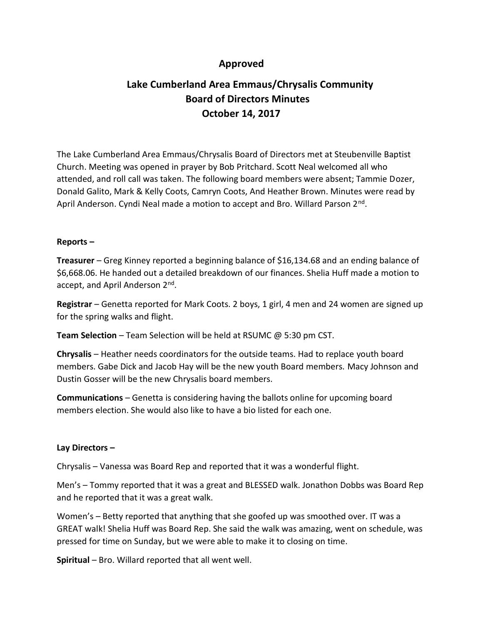## **Approved**

# **Lake Cumberland Area Emmaus/Chrysalis Community Board of Directors Minutes October 14, 2017**

The Lake Cumberland Area Emmaus/Chrysalis Board of Directors met at Steubenville Baptist Church. Meeting was opened in prayer by Bob Pritchard. Scott Neal welcomed all who attended, and roll call was taken. The following board members were absent; Tammie Dozer, Donald Galito, Mark & Kelly Coots, Camryn Coots, And Heather Brown. Minutes were read by April Anderson. Cyndi Neal made a motion to accept and Bro. Willard Parson 2<sup>nd</sup>.

### **Reports –**

**Treasurer** – Greg Kinney reported a beginning balance of \$16,134.68 and an ending balance of \$6,668.06. He handed out a detailed breakdown of our finances. Shelia Huff made a motion to accept, and April Anderson 2<sup>nd</sup>.

**Registrar** – Genetta reported for Mark Coots. 2 boys, 1 girl, 4 men and 24 women are signed up for the spring walks and flight.

**Team Selection** – Team Selection will be held at RSUMC @ 5:30 pm CST.

**Chrysalis** – Heather needs coordinators for the outside teams. Had to replace youth board members. Gabe Dick and Jacob Hay will be the new youth Board members. Macy Johnson and Dustin Gosser will be the new Chrysalis board members.

**Communications** – Genetta is considering having the ballots online for upcoming board members election. She would also like to have a bio listed for each one.

### **Lay Directors –**

Chrysalis – Vanessa was Board Rep and reported that it was a wonderful flight.

Men's – Tommy reported that it was a great and BLESSED walk. Jonathon Dobbs was Board Rep and he reported that it was a great walk.

Women's – Betty reported that anything that she goofed up was smoothed over. IT was a GREAT walk! Shelia Huff was Board Rep. She said the walk was amazing, went on schedule, was pressed for time on Sunday, but we were able to make it to closing on time.

**Spiritual** – Bro. Willard reported that all went well.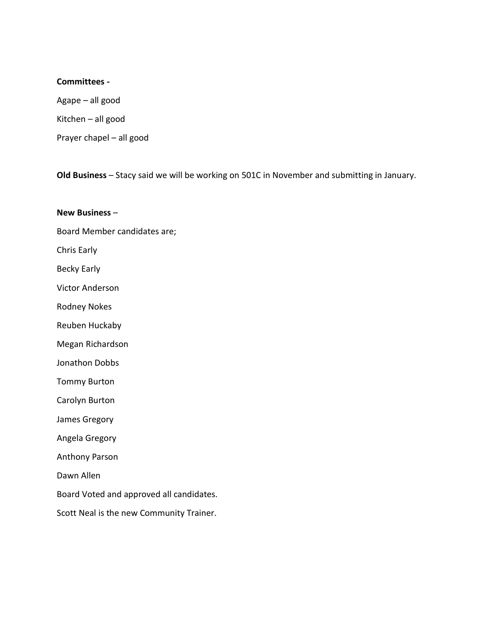#### **Committees -**

Agape – all good Kitchen – all good Prayer chapel – all good

**Old Business** – Stacy said we will be working on 501C in November and submitting in January.

**New Business** –

Board Member candidates are;

Chris Early

Becky Early

Victor Anderson

Rodney Nokes

Reuben Huckaby

Megan Richardson

Jonathon Dobbs

Tommy Burton

Carolyn Burton

James Gregory

Angela Gregory

Anthony Parson

Dawn Allen

Board Voted and approved all candidates.

Scott Neal is the new Community Trainer.